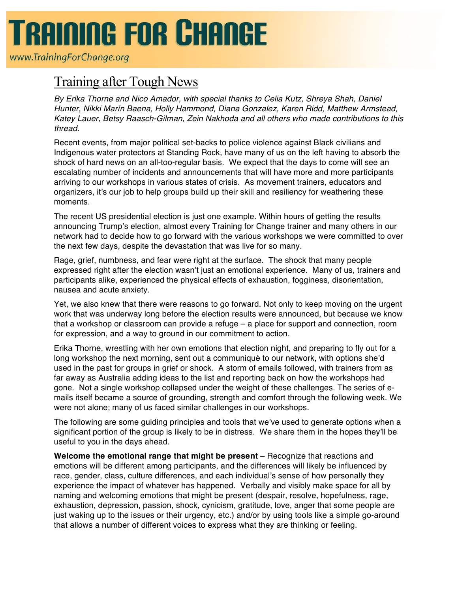## **TRAINING FOR CHANGE**

www.TrainingForChange.org

## Training after Tough News

*By Erika Thorne and Nico Amador, with special thanks to Celia Kutz, Shreya Shah, Daniel Hunter, Nikki Marín Baena, Holly Hammond, Diana Gonzalez, Karen Ridd, Matthew Armstead, Katey Lauer, Betsy Raasch-Gilman, Zein Nakhoda and all others who made contributions to this thread.*

Recent events, from major political set-backs to police violence against Black civilians and Indigenous water protectors at Standing Rock, have many of us on the left having to absorb the shock of hard news on an all-too-regular basis. We expect that the days to come will see an escalating number of incidents and announcements that will have more and more participants arriving to our workshops in various states of crisis. As movement trainers, educators and organizers, it's our job to help groups build up their skill and resiliency for weathering these moments.

The recent US presidential election is just one example. Within hours of getting the results announcing Trump's election, almost every Training for Change trainer and many others in our network had to decide how to go forward with the various workshops we were committed to over the next few days, despite the devastation that was live for so many.

Rage, grief, numbness, and fear were right at the surface. The shock that many people expressed right after the election wasn't just an emotional experience. Many of us, trainers and participants alike, experienced the physical effects of exhaustion, fogginess, disorientation, nausea and acute anxiety.

Yet, we also knew that there were reasons to go forward. Not only to keep moving on the urgent work that was underway long before the election results were announced, but because we know that a workshop or classroom can provide a refuge – a place for support and connection, room for expression, and a way to ground in our commitment to action.

Erika Thorne, wrestling with her own emotions that election night, and preparing to fly out for a long workshop the next morning, sent out a communiqué to our network, with options she'd used in the past for groups in grief or shock. A storm of emails followed, with trainers from as far away as Australia adding ideas to the list and reporting back on how the workshops had gone. Not a single workshop collapsed under the weight of these challenges. The series of emails itself became a source of grounding, strength and comfort through the following week. We were not alone; many of us faced similar challenges in our workshops.

The following are some guiding principles and tools that we've used to generate options when a significant portion of the group is likely to be in distress. We share them in the hopes they'll be useful to you in the days ahead.

**Welcome the emotional range that might be present** – Recognize that reactions and emotions will be different among participants, and the differences will likely be influenced by race, gender, class, culture differences, and each individual's sense of how personally they experience the impact of whatever has happened. Verbally and visibly make space for all by naming and welcoming emotions that might be present (despair, resolve, hopefulness, rage, exhaustion, depression, passion, shock, cynicism, gratitude, love, anger that some people are just waking up to the issues or their urgency, etc.) and/or by using tools like a simple go-around that allows a number of different voices to express what they are thinking or feeling.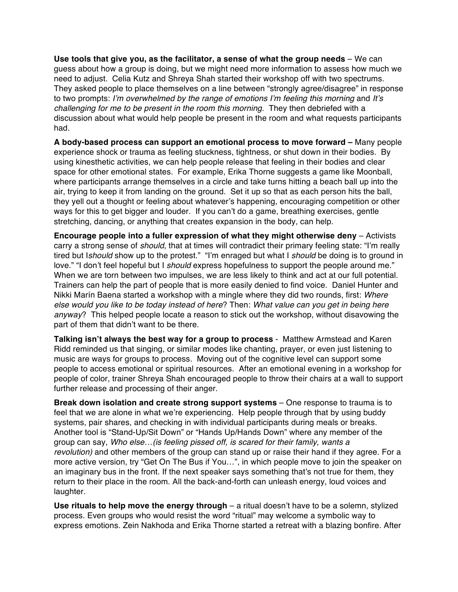**Use tools that give you, as the facilitator, a sense of what the group needs** – We can guess about how a group is doing, but we might need more information to assess how much we need to adjust. Celia Kutz and Shreya Shah started their workshop off with two spectrums. They asked people to place themselves on a line between "strongly agree/disagree" in response to two prompts: *I'm overwhelmed by the range of emotions I'm feeling this morning* and *It's challenging for me to be present in the room this morning.* They then debriefed with a discussion about what would help people be present in the room and what requests participants had.

**A body-based process can support an emotional process to move forward –** Many people experience shock or trauma as feeling stuckness, tightness, or shut down in their bodies. By using kinesthetic activities, we can help people release that feeling in their bodies and clear space for other emotional states. For example, Erika Thorne suggests a game like Moonball, where participants arrange themselves in a circle and take turns hitting a beach ball up into the air, trying to keep it from landing on the ground. Set it up so that as each person hits the ball, they yell out a thought or feeling about whatever's happening, encouraging competition or other ways for this to get bigger and louder. If you can't do a game, breathing exercises, gentle stretching, dancing, or anything that creates expansion in the body, can help.

**Encourage people into a fuller expression of what they might otherwise deny** – Activists carry a strong sense of *should*, that at times will contradict their primary feeling state: "I'm really tired but I*should* show up to the protest." "I'm enraged but what I *should* be doing is to ground in love." "I don't feel hopeful but I *should* express hopefulness to support the people around me." When we are torn between two impulses, we are less likely to think and act at our full potential. Trainers can help the part of people that is more easily denied to find voice. Daniel Hunter and Nikki Marín Baena started a workshop with a mingle where they did two rounds, first: *Where else would you like to be today instead of here*? Then: *What value can you get in being here anyway*? This helped people locate a reason to stick out the workshop, without disavowing the part of them that didn't want to be there.

**Talking isn't always the best way for a group to process** - Matthew Armstead and Karen Ridd reminded us that singing, or similar modes like chanting, prayer, or even just listening to music are ways for groups to process. Moving out of the cognitive level can support some people to access emotional or spiritual resources. After an emotional evening in a workshop for people of color, trainer Shreya Shah encouraged people to throw their chairs at a wall to support further release and processing of their anger.

**Break down isolation and create strong support systems** – One response to trauma is to feel that we are alone in what we're experiencing. Help people through that by using buddy systems, pair shares, and checking in with individual participants during meals or breaks. Another tool is "Stand-Up/Sit Down" or "Hands Up/Hands Down" where any member of the group can say, *Who else…(is feeling pissed off, is scared for their family, wants a revolution)* and other members of the group can stand up or raise their hand if they agree. For a more active version, try "Get On The Bus if You…", in which people move to join the speaker on an imaginary bus in the front. If the next speaker says something that's not true for them, they return to their place in the room. All the back-and-forth can unleash energy, loud voices and laughter.

**Use rituals to help move the energy through** – a ritual doesn't have to be a solemn, stylized process. Even groups who would resist the word "ritual" may welcome a symbolic way to express emotions. Zein Nakhoda and Erika Thorne started a retreat with a blazing bonfire. After